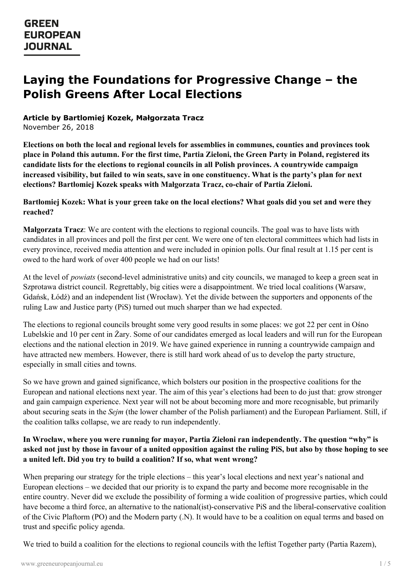# **Laying the Foundations for Progressive Change – the Polish Greens After Local Elections**

#### **Article by Bartlomiej Kozek, Małgorzata Tracz**

November 26, 2018

**Elections on both the local and regional levels for assemblies in communes, counties and provinces took** place in Poland this autumn. For the first time, Partia Zieloni, the Green Party in Poland, registered its **candidate lists for the elections to regional councils in all Polish provinces. A countrywide campaign** increased visibility, but failed to win seats, save in one constituency. What is the party's plan for next **elections? Bartłomiej Kozek speaks with Małgorzata Tracz, co-chair of Partia Zieloni.**

#### Bartłomiej Kozek: What is your green take on the local elections? What goals did you set and were they **reached?**

**Małgorzata Tracz**: We are content with the elections to regional councils. The goal was to have lists with candidates in all provinces and poll the first per cent. We were one of ten electoral committees which had lists in every province, received media attention and were included in opinion polls. Our final result at 1.15 per cent is owed to the hard work of over 400 people we had on our lists!

At the level of *powiats* (second-level administrative units) and city councils, we managed to keep a green seat in Szprotawa district council. Regrettably, big cities were a disappointment. We tried local coalitions (Warsaw, Gdańsk, Łódź) and an independent list (Wrocław). Yet the divide between the supporters and opponents of the ruling Law and Justice party (PiS) turned out much sharper than we had expected.

The elections to regional councils brought some very good results in some places: we got 22 per cent in Ośno Lubelskie and 10 per cent in Żary. Some of our candidates emerged as local leaders and will run for the European elections and the national election in 2019. We have gained experience in running a countrywide campaign and have attracted new members. However, there is still hard work ahead of us to develop the party structure, especially in small cities and towns.

So we have grown and gained significance, which bolsters our position in the prospective coalitions for the European and national elections next year. The aim of this year's elections had been to do just that: grow stronger and gain campaign experience. Next year will not be about becoming more and more recognisable, but primarily about securing seats in the *Sejm* (the lower chamber of the Polish parliament) and the European Parliament. Still, if the coalition talks collapse, we are ready to run independently.

### **In Wrocław, where you were running for mayor, Partia Zieloni ran independently. The question "why" is** asked not just by those in favour of a united opposition against the ruling PiS, but also by those hoping to see **a united left. Did you try to build a coalition? If so, what went wrong?**

When preparing our strategy for the triple elections – this year's local elections and next year's national and [European](https://www.greeneuropeanjournal.eu) elections – we decided that our priority is to expand the party and become more recognisable in the entire country. Never did we exclude the possibility of forming a wide coalition of progressive parties, which could have become a third force, an alternative to the national(ist)-conservative PiS and the liberal-conservative coalition of the Civic Plaftorm (PO) and the Modern party (.N). It would have to be a coalition on equal terms and based on trust and specific policy agenda.

We tried to build a coalition for the elections to regional councils with the leftist Together party (Partia Razem),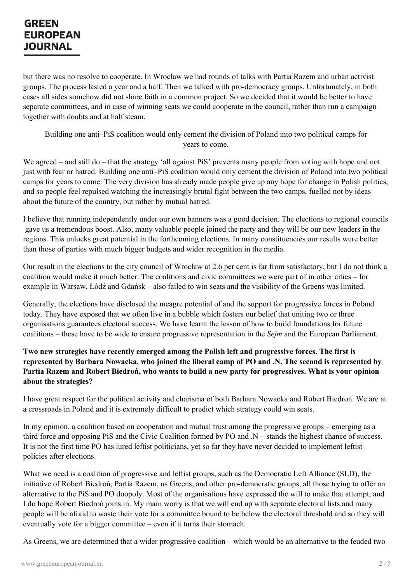but there was no resolve to cooperate. In Wrocław we had rounds of talks with Partia Razem and urban activist groups. The process lasted a year and a half. Then we talked with pro-democracy groups. Unfortunately, in both cases all sides somehow did not share faith in a common project. So we decided that it would be better to have separate committees, and in case of winning seats we could cooperate in the council, rather than run a campaign together with doubts and at half steam.

Building one anti*–*PiS coalition would only cement the division of Poland into two political camps for years to come.

We agreed – and still do – that the strategy 'all against PiS' prevents many people from voting with hope and not just with fear or hatred. Building one anti*–*PiS coalition would only cement the division of Poland into two political camps for years to come. The very division has already made people give up any hope for change in Polish politics, and so people feel repulsed watching the increasingly brutal fight between the two camps, fuelled not by ideas about the future of the country, but rather by mutual hatred.

I believe that running independently under our own banners was a good decision. The elections to regional councils gave us a tremendous boost. Also, many valuable people joined the party and they will be our new leaders in the regions. This unlocks great potential in the forthcoming elections. In many constituencies our results were better than those of parties with much bigger budgets and wider recognition in the media.

Our result in the elections to the city council of Wrocław at 2.6 per cent is far from satisfactory, but I do not think a coalition would make it much better. The coalitions and civic committees we were part of in other cities – for example in Warsaw, Łódź and Gdańsk – also failed to win seats and the visibility of the Greens was limited.

Generally, the elections have disclosed the meagre potential of and the support for progressive forces in Poland today. They have exposed that we often live in a bubble which fosters our belief that uniting two or three organisations guarantees electoral success. We have learnt the lesson of how to build foundations for future coalitions – these have to be wide to ensure progressive representation in the *Sejm* and the European Parliament.

### **Two new strategies have recently emerged among the Polish left and progressive forces. The first is** represented by Barbara Nowacka, who joined the liberal camp of PO and .N. The second is represented by Partia Razem and Robert Biedroń, who wants to build a new party for progressives. What is your opinion **about the strategies?**

I have great respect for the political activity and charisma of both Barbara Nowacka and Robert Biedroń. We are at a crossroads in Poland and it is extremely difficult to predict which strategy could win seats.

In my opinion, a coalition based on cooperation and mutual trust among the progressive groups – emerging as a third force and opposing PiS and the Civic Coalition formed by PO and .N *–* stands the highest chance of success. It is not the first time PO has lured leftist politicians, yet so far they have never decided to implement leftist policies after elections.

What we need is a coalition of progressive and leftist groups, such as the Democratic Left Alliance (SLD), the initiative of Robert Biedroń, Partia Razem, us Greens, and other pro-democratic groups, all those trying to offer an [alternative](https://www.greeneuropeanjournal.eu) to the PiS and PO duopoly. Most of the organisations have expressed the will to make that attempt, and I do hope Robert Biedroń joins in. My main worry is that we will end up with separate electoral lists and many people will be afraid to waste their vote for a committee bound to be below the electoral threshold and so they will eventually vote for a bigger committee – even if it turns their stomach.

As Greens, we are determined that a wider progressive coalition – which would be an alternative to the feuded two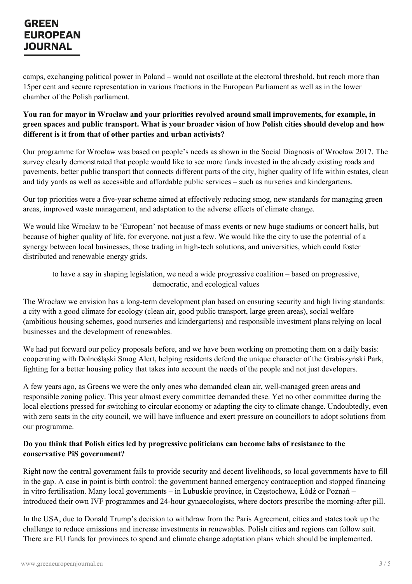camps, exchanging political power in Poland – would not oscillate at the electoral threshold, but reach more than 15per cent and secure representation in various fractions in the European Parliament as well as in the lower chamber of the Polish parliament.

#### **You ran for mayor in Wrocław and your priorities revolved around small improvements, for example, in** green spaces and public transport. What is your broader vision of how Polish cities should develop and how **different is it from that of other parties and urban activists?**

Our programme for Wrocław was based on people's needs as shown in the Social Diagnosis of Wrocław 2017. The survey clearly demonstrated that people would like to see more funds invested in the already existing roads and pavements, better public transport that connects different parts of the city, higher quality of life within estates, clean and tidy yards as well as accessible and affordable public services – such as nurseries and kindergartens.

Our top priorities were a five-year scheme aimed at effectively reducing smog, new standards for managing green areas, improved waste management, and adaptation to the adverse effects of climate change.

We would like Wrocław to be 'European' not because of mass events or new huge stadiums or concert halls, but because of higher quality of life, for everyone, not just a few. We would like the city to use the potential of a synergy between local businesses, those trading in high-tech solutions, and universities, which could foster distributed and renewable energy grids.

to have a say in shaping legislation, we need a wide progressive coalition – based on progressive, democratic, and ecological values

The Wrocław we envision has a long-term development plan based on ensuring security and high living standards: a city with a good climate for ecology (clean air, good public transport, large green areas), social welfare (ambitious housing schemes, good nurseries and kindergartens) and responsible investment plans relying on local businesses and the development of renewables.

We had put forward our policy proposals before, and we have been working on promoting them on a daily basis: cooperating with Dolnośląski Smog Alert, helping residents defend the unique character of the Grabiszyński Park, fighting for a better housing policy that takes into account the needs of the people and not just developers.

A few years ago, as Greens we were the only ones who demanded clean air, well-managed green areas and responsible zoning policy. This year almost every committee demanded these. Yet no other committee during the local elections pressed for switching to circular economy or adapting the city to climate change. Undoubtedly, even with zero seats in the city council, we will have influence and exert pressure on councillors to adopt solutions from our programme.

#### **Do you think that Polish cities led by progressive politicians can become labs of resistance to the conservative PiS government?**

Right now the central government fails to provide security and decent livelihoods, so local governments have to fill in the gap. A case in point is birth control: the government banned emergency contraception and stopped financing in vitro [fertilisation.](https://www.greeneuropeanjournal.eu) Many local governments – in Lubuskie province, in Częstochowa, Łódź or Poznań – introduced their own IVF programmes and 24-hour gynaecologists, where doctors prescribe the morning-after pill.

In the USA, due to Donald Trump's decision to withdraw from the Paris Agreement, cities and states took up the challenge to reduce emissions and increase investments in renewables. Polish cities and regions can follow suit. There are EU funds for provinces to spend and climate change adaptation plans which should be implemented.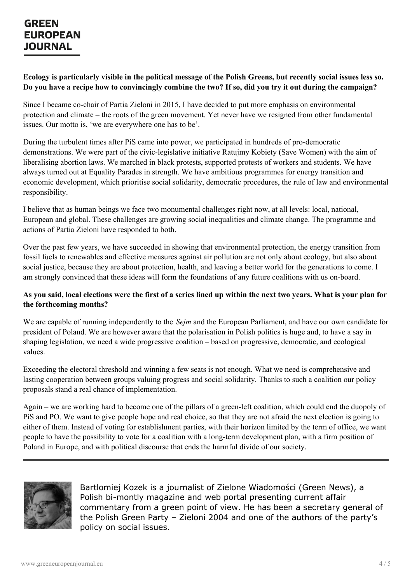### Ecology is particularly visible in the political message of the Polish Greens, but recently social issues less so. Do you have a recipe how to convincingly combine the two? If so, did you try it out during the campaign?

Since I became co-chair of Partia Zieloni in 2015, I have decided to put more emphasis on environmental protection and climate – the roots of the green movement. Yet never have we resigned from other fundamental issues. Our motto is, 'we are everywhere one has to be'.

During the turbulent times after PiS came into power, we participated in hundreds of pro-democratic demonstrations. We were part of the civic-legislative initiative Ratujmy Kobiety (Save Women) with the aim of liberalising abortion laws. We marched in black protests, supported protests of workers and students. We have always turned out at Equality Parades in strength. We have ambitious programmes for energy transition and economic development, which prioritise social solidarity, democratic procedures, the rule of law and environmental responsibility.

I believe that as human beings we face two monumental challenges right now, at all levels: local, national, European and global. These challenges are growing social inequalities and climate change. The programme and actions of Partia Zieloni have responded to both.

Over the past few years, we have succeeded in showing that environmental protection, the energy transition from fossil fuels to renewables and effective measures against air pollution are not only about ecology, but also about social justice, because they are about protection, health, and leaving a better world for the generations to come. I am strongly convinced that these ideas will form the foundations of any future coalitions with us on-board.

### As you said, local elections were the first of a series lined up within the next two years. What is your plan for **the forthcoming months?**

We are capable of running independently to the *Sejm* and the European Parliament, and have our own candidate for president of Poland. We are however aware that the polarisation in Polish politics is huge and, to have a say in shaping legislation, we need a wide progressive coalition – based on progressive, democratic, and ecological values.

Exceeding the electoral threshold and winning a few seats is not enough. What we need is comprehensive and lasting cooperation between groups valuing progress and social solidarity. Thanks to such a coalition our policy proposals stand a real chance of implementation.

Again – we are working hard to become one of the pillars of a green-left coalition, which could end the duopoly of PiS and PO. We want to give people hope and real choice, so that they are not afraid the next election is going to either of them. Instead of voting for establishment parties, with their horizon limited by the term of office, we want people to have the possibility to vote for a coalition with a long-term development plan, with a firm position of Poland in Europe, and with political discourse that ends the harmful divide of our society.



[Bartlo](https://www.greeneuropeanjournal.eu)miej Kozek is a journalist of Zielone Wiadomości (Green News), a Polish bi-montly magazine and web portal presenting current affair commentary from a green point of view. He has been a secretary general of the Polish Green Party – Zieloni 2004 and one of the authors of the party's policy on social issues.